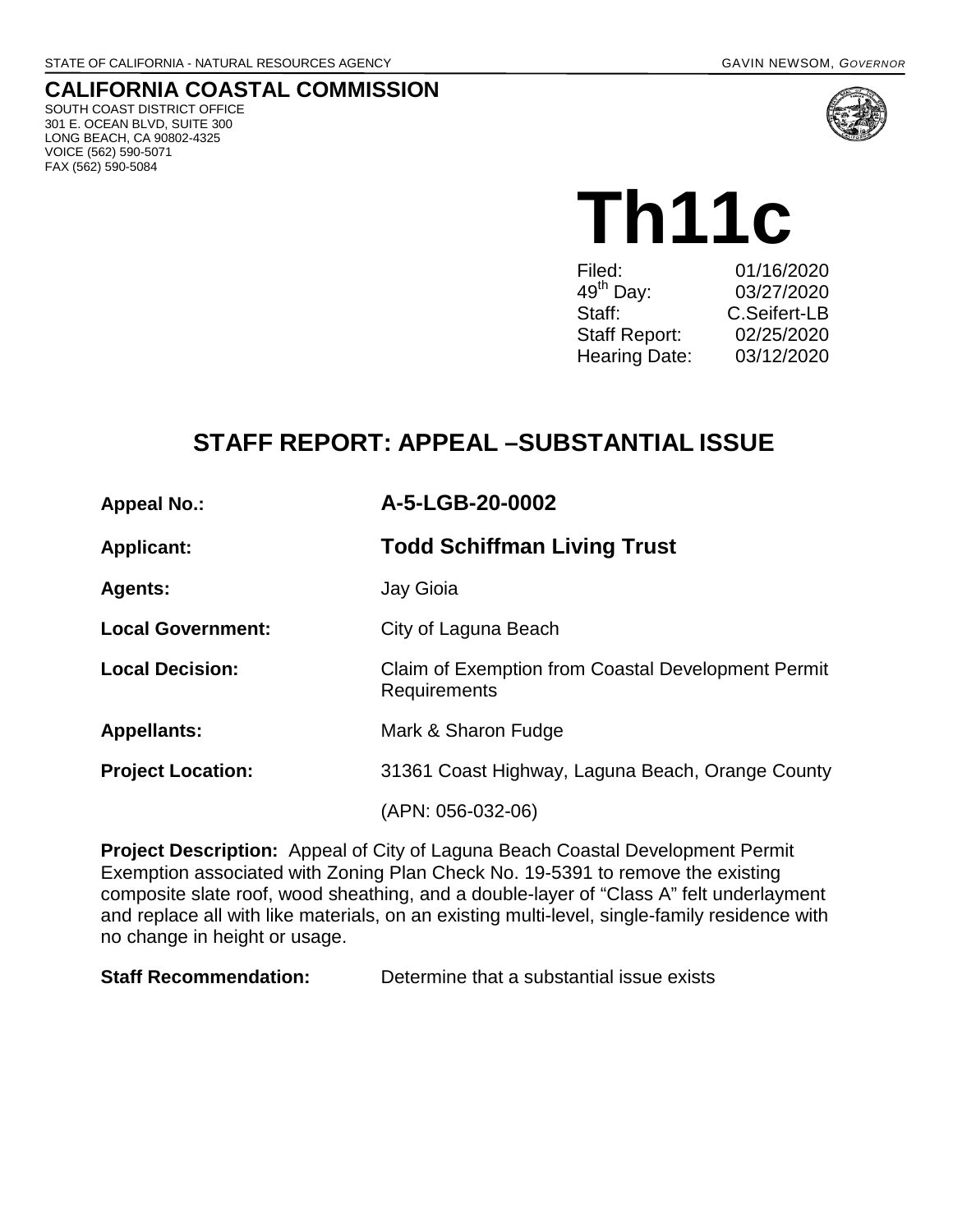# **CALIFORNIA COASTAL COMMISSION**

SOUTH COAST DISTRICT OFFICE 301 E. OCEAN BLVD, SUITE 300 LONG BEACH, CA 90802-4325 VOICE (562) 590-5071 FAX (562) 590-5084



**Th11c** 

| Filed:                | 01/16/2020   |
|-----------------------|--------------|
| 49 <sup>th</sup> Day: | 03/27/2020   |
| Staff:                | C.Seifert-LB |
| <b>Staff Report:</b>  | 02/25/2020   |
| Hearing Date:         | 03/12/2020   |
|                       |              |

# **STAFF REPORT: APPEAL –SUBSTANTIAL ISSUE**

| <b>Appeal No.:</b> |  |  |
|--------------------|--|--|
|--------------------|--|--|

#### **Appeal No.: A-5-LGB-20-0002**

**Applicant: Todd Schiffman Living Trust**

**Agents:** Jay Gioia

**Local Government:** City of Laguna Beach

**Local Decision:** Claim of Exemption from Coastal Development Permit

**Appellants:** Mark & Sharon Fudge

**Project Location:** 31361 Coast Highway, Laguna Beach, Orange County

Requirements

(APN: 056-032-06)

**Project Description:** Appeal of City of Laguna Beach Coastal Development Permit Exemption associated with Zoning Plan Check No. 19-5391 to remove the existing composite slate roof, wood sheathing, and a double-layer of "Class A" felt underlayment and replace all with like materials, on an existing multi-level, single-family residence with no change in height or usage.

**Staff Recommendation:** Determine that a substantial issue exists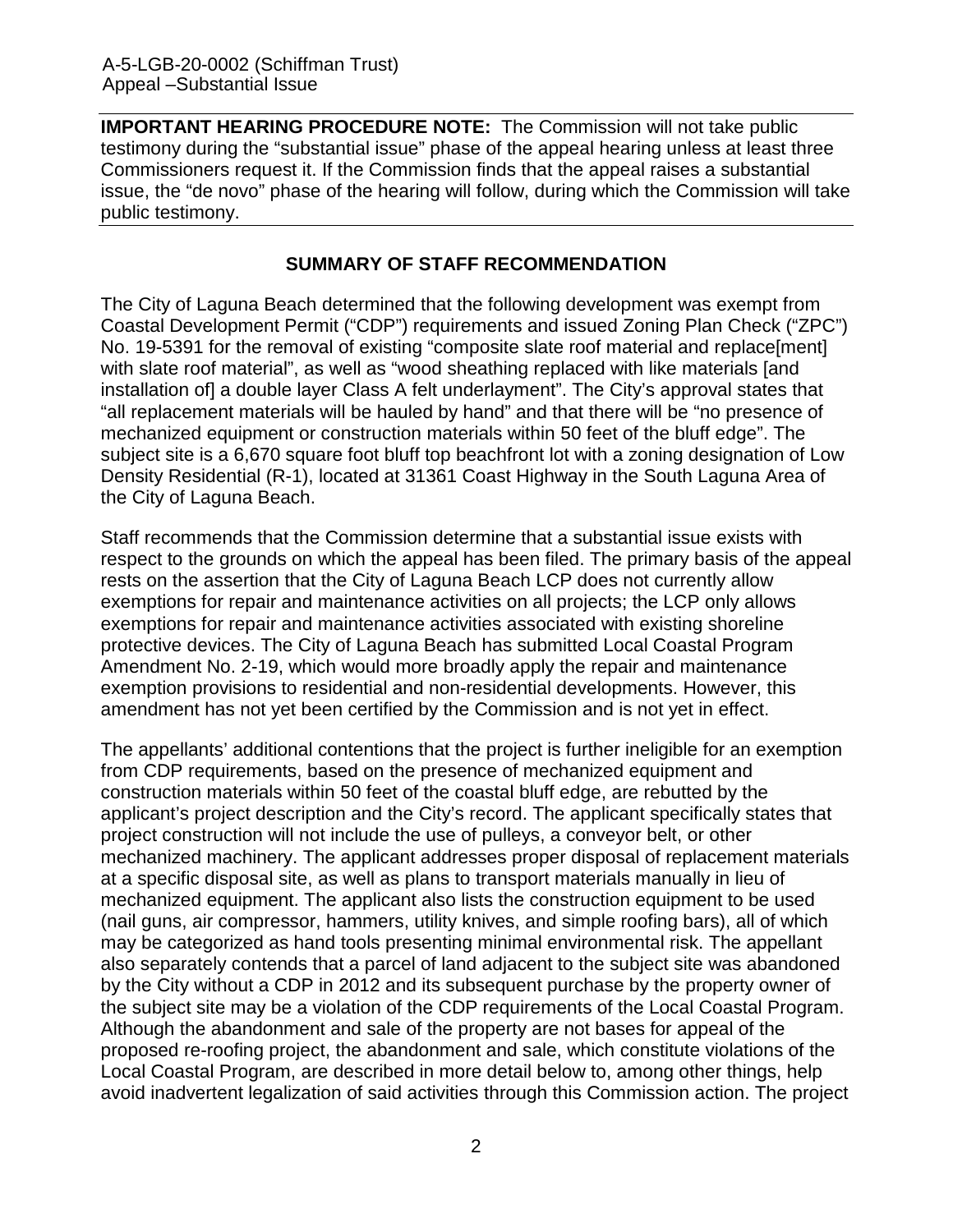**IMPORTANT HEARING PROCEDURE NOTE:** The Commission will not take public testimony during the "substantial issue" phase of the appeal hearing unless at least three Commissioners request it. If the Commission finds that the appeal raises a substantial issue, the "de novo" phase of the hearing will follow, during which the Commission will take public testimony.

#### **SUMMARY OF STAFF RECOMMENDATION**

The City of Laguna Beach determined that the following development was exempt from Coastal Development Permit ("CDP") requirements and issued Zoning Plan Check ("ZPC") No. 19-5391 for the removal of existing "composite slate roof material and replace[ment] with slate roof material", as well as "wood sheathing replaced with like materials [and installation of] a double layer Class A felt underlayment". The City's approval states that "all replacement materials will be hauled by hand" and that there will be "no presence of mechanized equipment or construction materials within 50 feet of the bluff edge". The subject site is a 6,670 square foot bluff top beachfront lot with a zoning designation of Low Density Residential (R-1), located at 31361 Coast Highway in the South Laguna Area of the City of Laguna Beach.

Staff recommends that the Commission determine that a substantial issue exists with respect to the grounds on which the appeal has been filed. The primary basis of the appeal rests on the assertion that the City of Laguna Beach LCP does not currently allow exemptions for repair and maintenance activities on all projects; the LCP only allows exemptions for repair and maintenance activities associated with existing shoreline protective devices. The City of Laguna Beach has submitted Local Coastal Program Amendment No. 2-19, which would more broadly apply the repair and maintenance exemption provisions to residential and non-residential developments. However, this amendment has not yet been certified by the Commission and is not yet in effect.

The appellants' additional contentions that the project is further ineligible for an exemption from CDP requirements, based on the presence of mechanized equipment and construction materials within 50 feet of the coastal bluff edge, are rebutted by the applicant's project description and the City's record. The applicant specifically states that project construction will not include the use of pulleys, a conveyor belt, or other mechanized machinery. The applicant addresses proper disposal of replacement materials at a specific disposal site, as well as plans to transport materials manually in lieu of mechanized equipment. The applicant also lists the construction equipment to be used (nail guns, air compressor, hammers, utility knives, and simple roofing bars), all of which may be categorized as hand tools presenting minimal environmental risk. The appellant also separately contends that a parcel of land adjacent to the subject site was abandoned by the City without a CDP in 2012 and its subsequent purchase by the property owner of the subject site may be a violation of the CDP requirements of the Local Coastal Program. Although the abandonment and sale of the property are not bases for appeal of the proposed re-roofing project, the abandonment and sale, which constitute violations of the Local Coastal Program, are described in more detail below to, among other things, help avoid inadvertent legalization of said activities through this Commission action. The project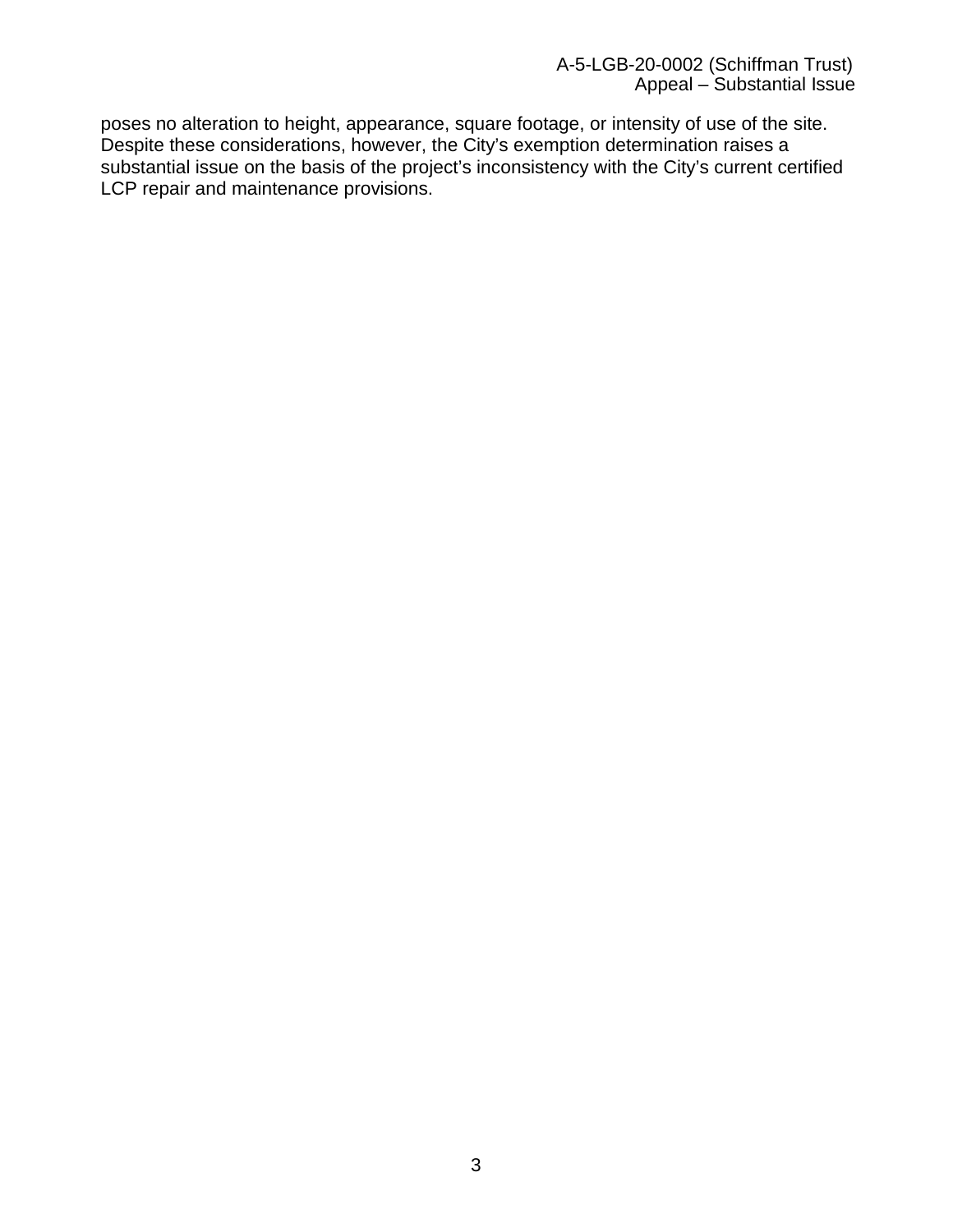poses no alteration to height, appearance, square footage, or intensity of use of the site. Despite these considerations, however, the City's exemption determination raises a substantial issue on the basis of the project's inconsistency with the City's current certified LCP repair and maintenance provisions.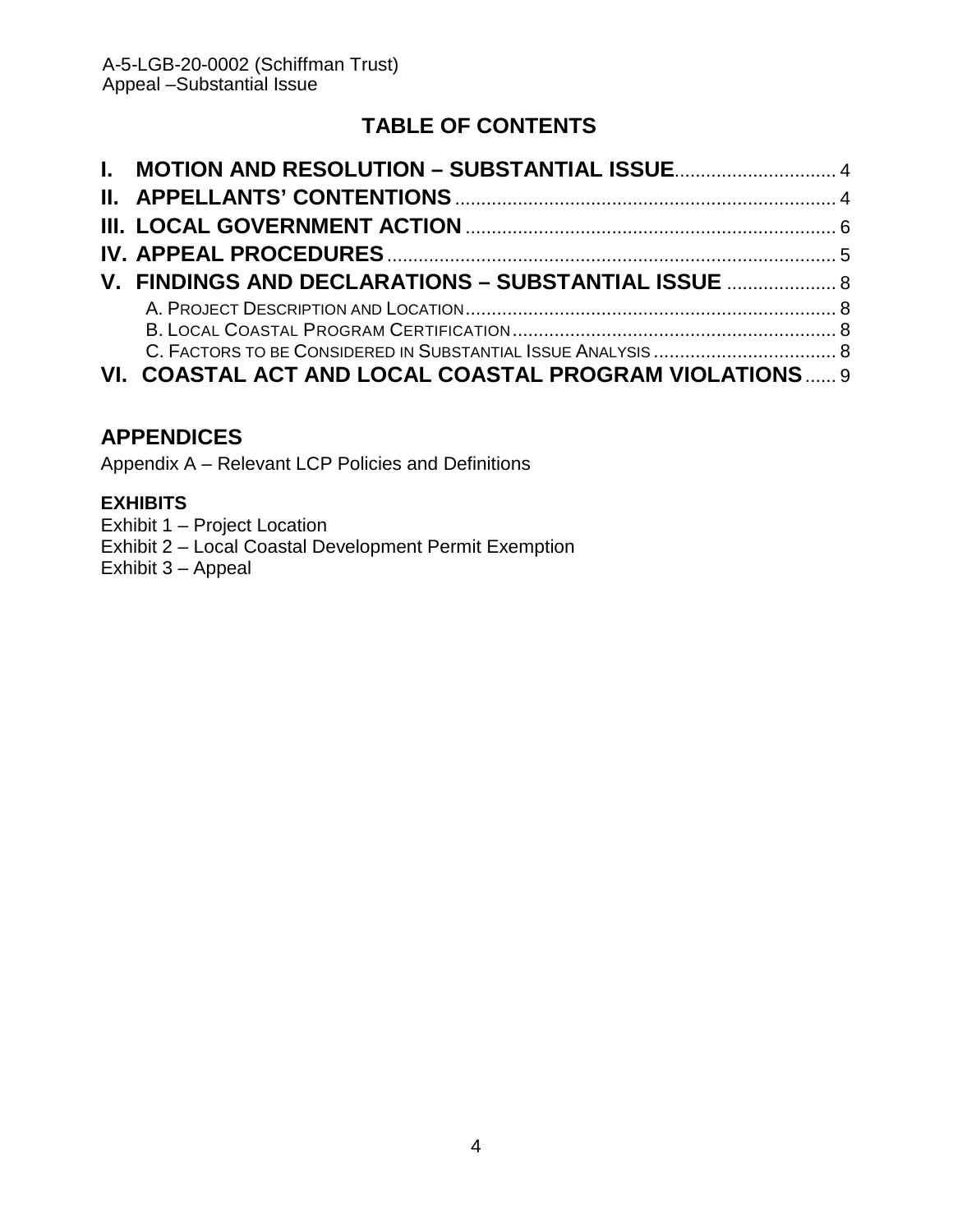# **TABLE OF CONTENTS**

| V. FINDINGS AND DECLARATIONS - SUBSTANTIAL ISSUE  8    |  |
|--------------------------------------------------------|--|
|                                                        |  |
|                                                        |  |
|                                                        |  |
| VI. COASTAL ACT AND LOCAL COASTAL PROGRAM VIOLATIONS 9 |  |

## **APPENDICES**

Appendix A – Relevant LCP Policies and Definitions

## **[EXHIBITS](https://documents.coastal.ca.gov/reports/2017/8/w12a/w12a-8-2017-exhibits.pdf)**

[Exhibit 1 – Project Location](https://documents.coastal.ca.gov/reports/2017/8/w12a/w12a-8-2017-exhibits.pdf)

- [Exhibit 2 Local](https://documents.coastal.ca.gov/reports/2017/8/w12a/w12a-8-2017-exhibits.pdf) Coastal Development Permit Exemption
- [Exhibit 3 Appeal](https://documents.coastal.ca.gov/reports/2017/8/w12a/w12a-8-2017-exhibits.pdf)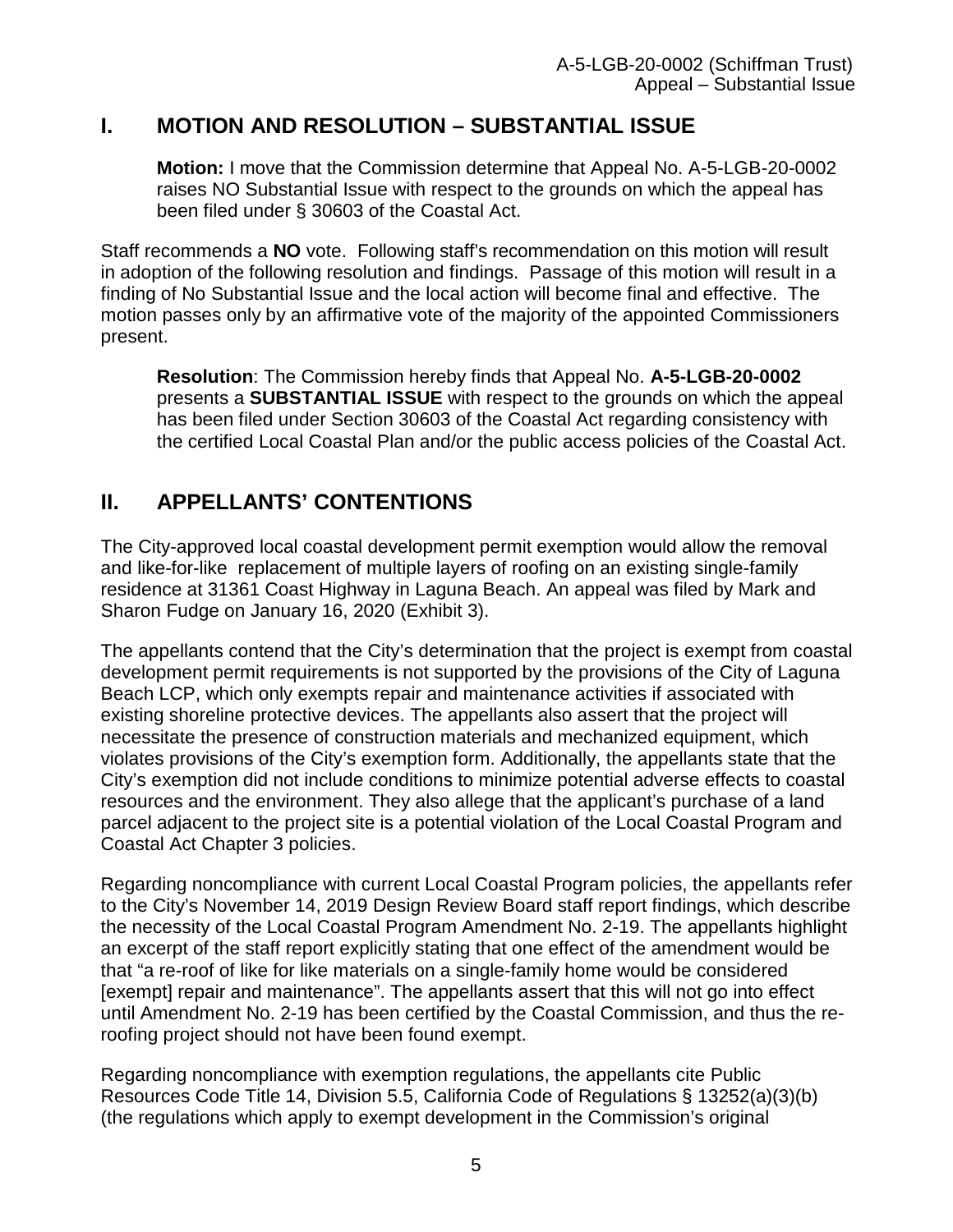## <span id="page-4-0"></span>**I. MOTION AND RESOLUTION – SUBSTANTIAL ISSUE**

**Motion:** I move that the Commission determine that Appeal No. A-5-LGB-20-0002 raises NO Substantial Issue with respect to the grounds on which the appeal has been filed under § 30603 of the Coastal Act.

Staff recommends a **NO** vote. Following staff's recommendation on this motion will result in adoption of the following resolution and findings. Passage of this motion will result in a finding of No Substantial Issue and the local action will become final and effective. The motion passes only by an affirmative vote of the majority of the appointed Commissioners present.

**Resolution**: The Commission hereby finds that Appeal No. **A-5-LGB-20-0002** presents a **SUBSTANTIAL ISSUE** with respect to the grounds on which the appeal has been filed under Section 30603 of the Coastal Act regarding consistency with the certified Local Coastal Plan and/or the public access policies of the Coastal Act.

# <span id="page-4-1"></span>**II. APPELLANTS' CONTENTIONS**

The City-approved local coastal development permit exemption would allow the removal and like-for-like replacement of multiple layers of roofing on an existing single-family residence at 31361 Coast Highway in Laguna Beach. An appeal was filed by Mark and Sharon Fudge on January 16, 2020 (Exhibit 3).

The appellants contend that the City's determination that the project is exempt from coastal development permit requirements is not supported by the provisions of the City of Laguna Beach LCP, which only exempts repair and maintenance activities if associated with existing shoreline protective devices. The appellants also assert that the project will necessitate the presence of construction materials and mechanized equipment, which violates provisions of the City's exemption form. Additionally, the appellants state that the City's exemption did not include conditions to minimize potential adverse effects to coastal resources and the environment. They also allege that the applicant's purchase of a land parcel adjacent to the project site is a potential violation of the Local Coastal Program and Coastal Act Chapter 3 policies.

Regarding noncompliance with current Local Coastal Program policies, the appellants refer to the City's November 14, 2019 Design Review Board staff report findings, which describe the necessity of the Local Coastal Program Amendment No. 2-19. The appellants highlight an excerpt of the staff report explicitly stating that one effect of the amendment would be that "a re-roof of like for like materials on a single-family home would be considered [exempt] repair and maintenance". The appellants assert that this will not go into effect until Amendment No. 2-19 has been certified by the Coastal Commission, and thus the reroofing project should not have been found exempt.

Regarding noncompliance with exemption regulations, the appellants cite Public Resources Code Title 14, Division 5.5, California Code of Regulations § 13252(a)(3)(b) (the regulations which apply to exempt development in the Commission's original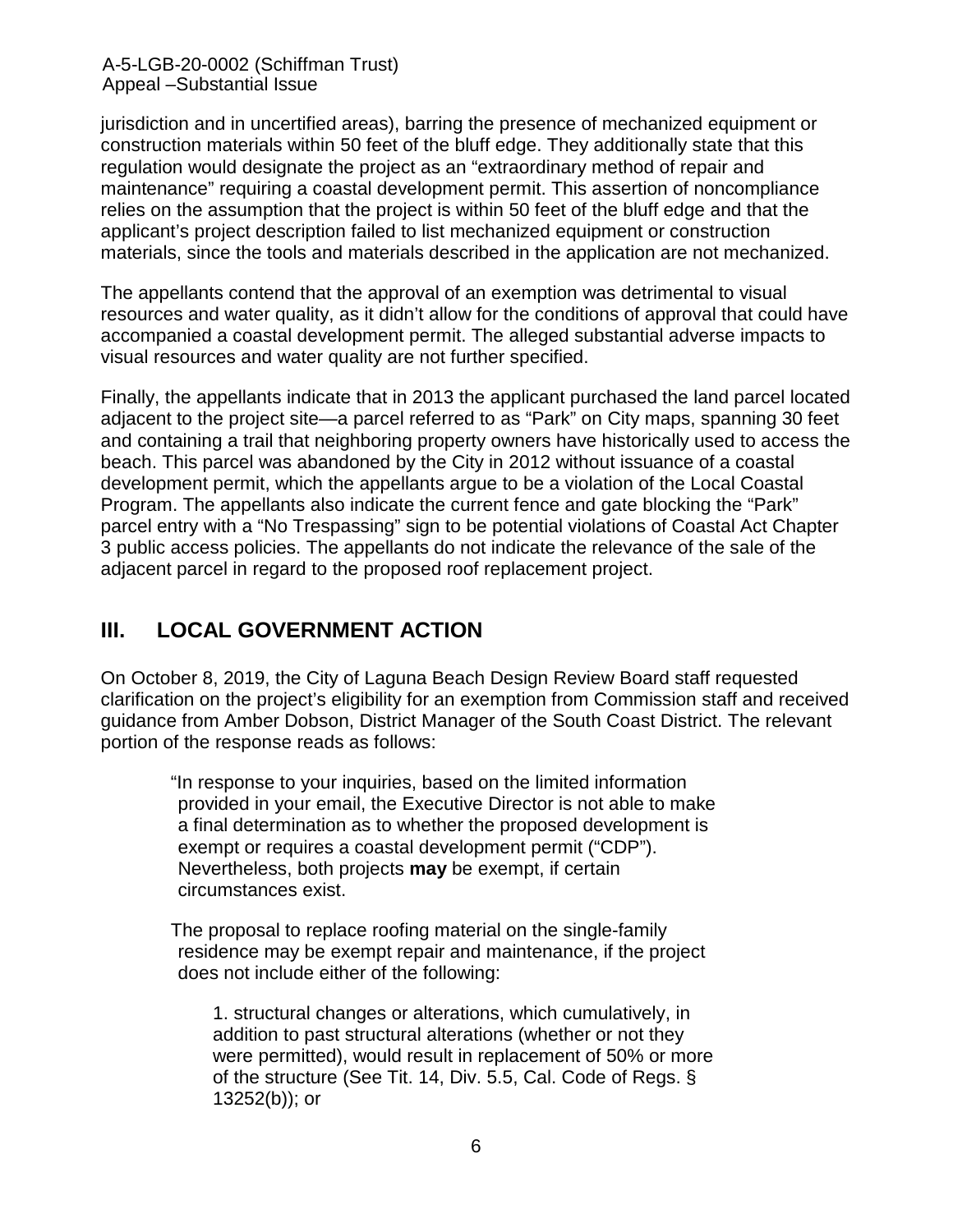A-5-LGB-20-0002 (Schiffman Trust) Appeal –Substantial Issue

jurisdiction and in uncertified areas), barring the presence of mechanized equipment or construction materials within 50 feet of the bluff edge. They additionally state that this regulation would designate the project as an "extraordinary method of repair and maintenance" requiring a coastal development permit. This assertion of noncompliance relies on the assumption that the project is within 50 feet of the bluff edge and that the applicant's project description failed to list mechanized equipment or construction materials, since the tools and materials described in the application are not mechanized.

The appellants contend that the approval of an exemption was detrimental to visual resources and water quality, as it didn't allow for the conditions of approval that could have accompanied a coastal development permit. The alleged substantial adverse impacts to visual resources and water quality are not further specified.

Finally, the appellants indicate that in 2013 the applicant purchased the land parcel located adjacent to the project site—a parcel referred to as "Park" on City maps, spanning 30 feet and containing a trail that neighboring property owners have historically used to access the beach. This parcel was abandoned by the City in 2012 without issuance of a coastal development permit, which the appellants argue to be a violation of the Local Coastal Program. The appellants also indicate the current fence and gate blocking the "Park" parcel entry with a "No Trespassing" sign to be potential violations of Coastal Act Chapter 3 public access policies. The appellants do not indicate the relevance of the sale of the adjacent parcel in regard to the proposed roof replacement project.

## <span id="page-5-0"></span>**III. LOCAL GOVERNMENT ACTION**

On October 8, 2019, the City of Laguna Beach Design Review Board staff requested clarification on the project's eligibility for an exemption from Commission staff and received guidance from Amber Dobson, District Manager of the South Coast District. The relevant portion of the response reads as follows:

"In response to your inquiries, based on the limited information provided in your email, the Executive Director is not able to make a final determination as to whether the proposed development is exempt or requires a coastal development permit ("CDP"). Nevertheless, both projects **may** be exempt, if certain circumstances exist.

The proposal to replace roofing material on the single-family residence may be exempt repair and maintenance, if the project does not include either of the following:

1. structural changes or alterations, which cumulatively, in addition to past structural alterations (whether or not they were permitted), would result in replacement of 50% or more of the structure (See Tit. 14, Div. 5.5, Cal. Code of Regs. § 13252(b)); or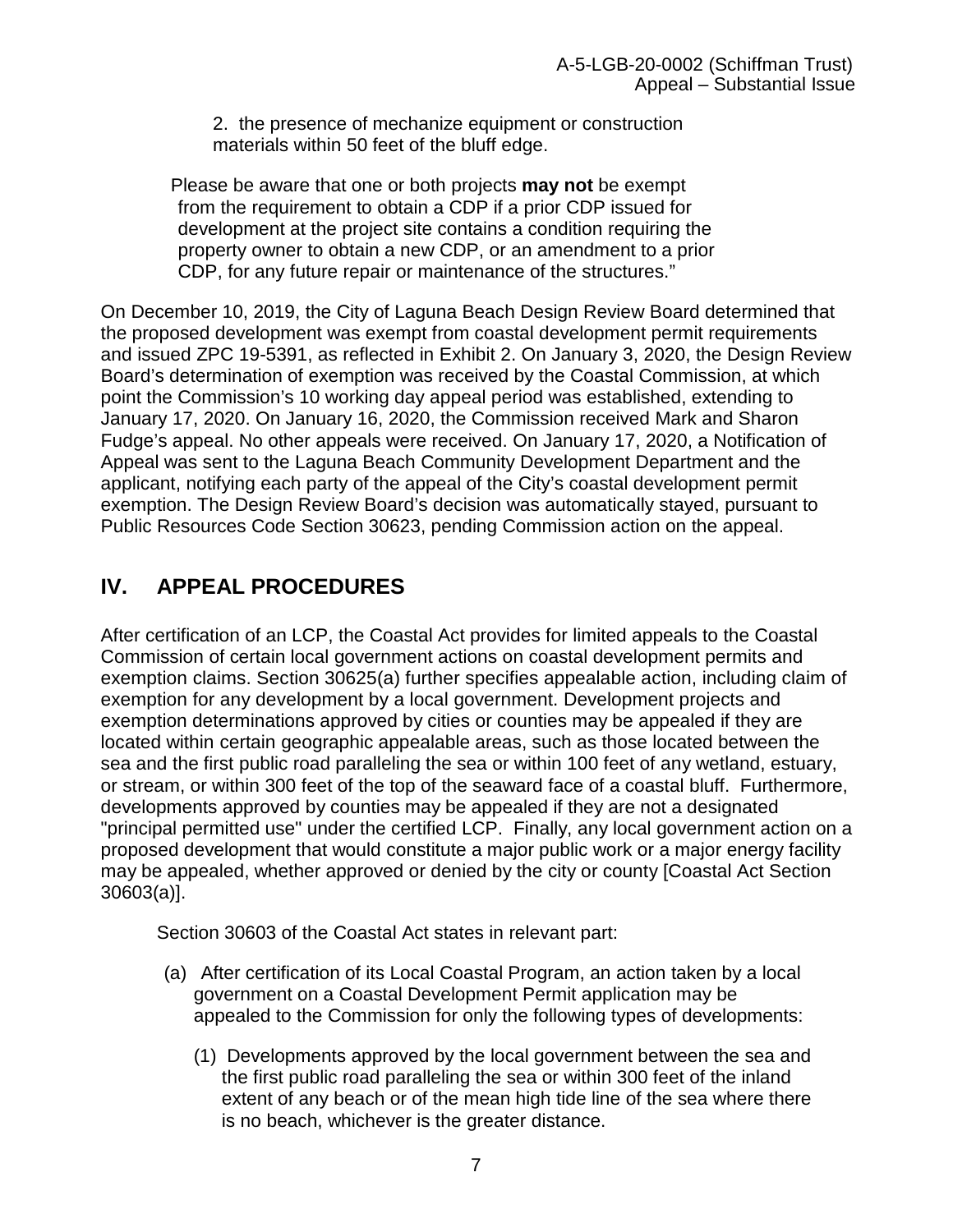2. the presence of mechanize equipment or construction materials within 50 feet of the bluff edge.

Please be aware that one or both projects **may not** be exempt from the requirement to obtain a CDP if a prior CDP issued for development at the project site contains a condition requiring the property owner to obtain a new CDP, or an amendment to a prior CDP, for any future repair or maintenance of the structures."

On December 10, 2019, the City of Laguna Beach Design Review Board determined that the proposed development was exempt from coastal development permit requirements and issued ZPC 19-5391, as reflected in Exhibit 2. On January 3, 2020, the Design Review Board's determination of exemption was received by the Coastal Commission, at which point the Commission's 10 working day appeal period was established, extending to January 17, 2020. On January 16, 2020, the Commission received Mark and Sharon Fudge's appeal. No other appeals were received. On January 17, 2020, a Notification of Appeal was sent to the Laguna Beach Community Development Department and the applicant, notifying each party of the appeal of the City's coastal development permit exemption. The Design Review Board's decision was automatically stayed, pursuant to Public Resources Code Section 30623, pending Commission action on the appeal.

# <span id="page-6-0"></span>**IV. APPEAL PROCEDURES**

After certification of an LCP, the Coastal Act provides for limited appeals to the Coastal Commission of certain local government actions on coastal development permits and exemption claims. Section 30625(a) further specifies appealable action, including claim of exemption for any development by a local government. Development projects and exemption determinations approved by cities or counties may be appealed if they are located within certain geographic appealable areas, such as those located between the sea and the first public road paralleling the sea or within 100 feet of any wetland, estuary, or stream, or within 300 feet of the top of the seaward face of a coastal bluff. Furthermore, developments approved by counties may be appealed if they are not a designated "principal permitted use" under the certified LCP. Finally, any local government action on a proposed development that would constitute a major public work or a major energy facility may be appealed, whether approved or denied by the city or county [Coastal Act Section 30603(a)].

Section 30603 of the Coastal Act states in relevant part:

- (a) After certification of its Local Coastal Program, an action taken by a local government on a Coastal Development Permit application may be appealed to the Commission for only the following types of developments:
	- (1) Developments approved by the local government between the sea and the first public road paralleling the sea or within 300 feet of the inland extent of any beach or of the mean high tide line of the sea where there is no beach, whichever is the greater distance.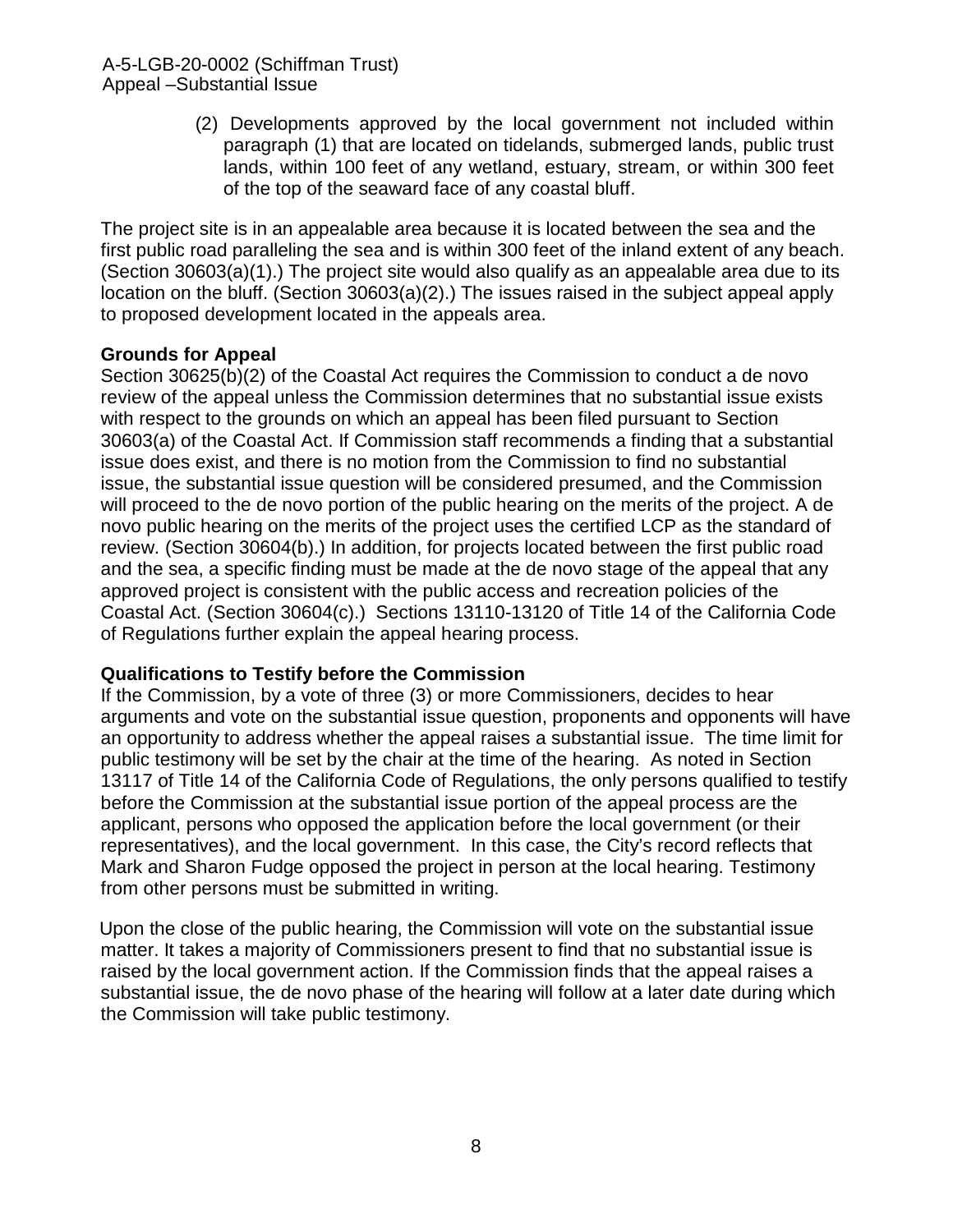(2) Developments approved by the local government not included within paragraph (1) that are located on tidelands, submerged lands, public trust lands, within 100 feet of any wetland, estuary, stream, or within 300 feet of the top of the seaward face of any coastal bluff.

The project site is in an appealable area because it is located between the sea and the first public road paralleling the sea and is within 300 feet of the inland extent of any beach. (Section 30603(a)(1).) The project site would also qualify as an appealable area due to its location on the bluff. (Section 30603(a)(2).) The issues raised in the subject appeal apply to proposed development located in the appeals area.

## **Grounds for Appeal**

Section 30625(b)(2) of the Coastal Act requires the Commission to conduct a de novo review of the appeal unless the Commission determines that no substantial issue exists with respect to the grounds on which an appeal has been filed pursuant to Section 30603(a) of the Coastal Act. If Commission staff recommends a finding that a substantial issue does exist, and there is no motion from the Commission to find no substantial issue, the substantial issue question will be considered presumed, and the Commission will proceed to the de novo portion of the public hearing on the merits of the project. A de novo public hearing on the merits of the project uses the certified LCP as the standard of review. (Section 30604(b).) In addition, for projects located between the first public road and the sea, a specific finding must be made at the de novo stage of the appeal that any approved project is consistent with the public access and recreation policies of the Coastal Act. (Section 30604(c).) Sections 13110-13120 of Title 14 of the California Code of Regulations further explain the appeal hearing process.

## **Qualifications to Testify before the Commission**

If the Commission, by a vote of three (3) or more Commissioners, decides to hear arguments and vote on the substantial issue question, proponents and opponents will have an opportunity to address whether the appeal raises a substantial issue. The time limit for public testimony will be set by the chair at the time of the hearing. As noted in Section 13117 of Title 14 of the California Code of Regulations, the only persons qualified to testify before the Commission at the substantial issue portion of the appeal process are the applicant, persons who opposed the application before the local government (or their representatives), and the local government. In this case, the City's record reflects that Mark and Sharon Fudge opposed the project in person at the local hearing. Testimony from other persons must be submitted in writing.

<span id="page-7-0"></span>Upon the close of the public hearing, the Commission will vote on the substantial issue matter. It takes a majority of Commissioners present to find that no substantial issue is raised by the local government action. If the Commission finds that the appeal raises a substantial issue, the de novo phase of the hearing will follow at a later date during which the Commission will take public testimony.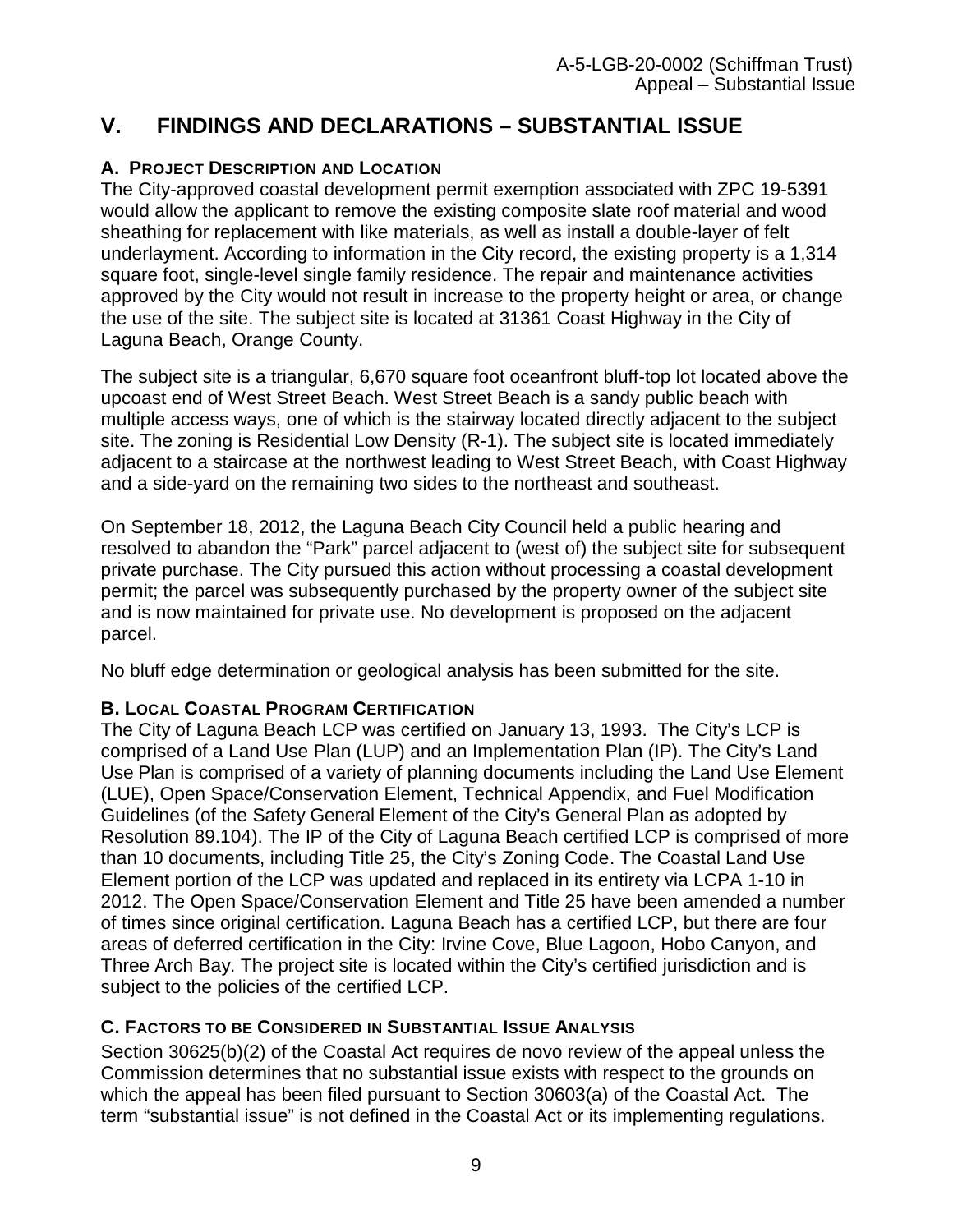# **V. FINDINGS AND DECLARATIONS – SUBSTANTIAL ISSUE**

## <span id="page-8-1"></span><span id="page-8-0"></span>**A. PROJECT DESCRIPTION AND LOCATION**

The City-approved coastal development permit exemption associated with ZPC 19-5391 would allow the applicant to remove the existing composite slate roof material and wood sheathing for replacement with like materials, as well as install a double-layer of felt underlayment. According to information in the City record, the existing property is a 1,314 square foot, single-level single family residence. The repair and maintenance activities approved by the City would not result in increase to the property height or area, or change the use of the site. The subject site is located at 31361 Coast Highway in the City of Laguna Beach, Orange County.

The subject site is a triangular, 6,670 square foot oceanfront bluff-top lot located above the upcoast end of West Street Beach. West Street Beach is a sandy public beach with multiple access ways, one of which is the stairway located directly adjacent to the subject site. The zoning is Residential Low Density (R-1). The subject site is located immediately adjacent to a staircase at the northwest leading to West Street Beach, with Coast Highway and a side-yard on the remaining two sides to the northeast and southeast.

On September 18, 2012, the Laguna Beach City Council held a public hearing and resolved to abandon the "Park" parcel adjacent to (west of) the subject site for subsequent private purchase. The City pursued this action without processing a coastal development permit; the parcel was subsequently purchased by the property owner of the subject site and is now maintained for private use. No development is proposed on the adjacent parcel.

No bluff edge determination or geological analysis has been submitted for the site.

## **B. LOCAL COASTAL PROGRAM CERTIFICATION**

The City of Laguna Beach LCP was certified on January 13, 1993. The City's LCP is comprised of a Land Use Plan (LUP) and an Implementation Plan (IP). The City's Land Use Plan is comprised of a variety of planning documents including the Land Use Element (LUE), Open Space/Conservation Element, Technical Appendix, and Fuel Modification Guidelines (of the Safety General Element of the City's General Plan as adopted by Resolution 89.104). The IP of the City of Laguna Beach certified LCP is comprised of more than 10 documents, including Title 25, the City's Zoning Code. The Coastal Land Use Element portion of the LCP was updated and replaced in its entirety via LCPA 1-10 in 2012. The Open Space/Conservation Element and Title 25 have been amended a number of times since original certification. Laguna Beach has a certified LCP, but there are four areas of deferred certification in the City: Irvine Cove, Blue Lagoon, Hobo Canyon, and Three Arch Bay. The project site is located within the City's certified jurisdiction and is subject to the policies of the certified LCP.

## <span id="page-8-2"></span>**C. FACTORS TO BE CONSIDERED IN SUBSTANTIAL ISSUE ANALYSIS**

Section 30625(b)(2) of the Coastal Act requires de novo review of the appeal unless the Commission determines that no substantial issue exists with respect to the grounds on which the appeal has been filed pursuant to Section 30603(a) of the Coastal Act. The term "substantial issue" is not defined in the Coastal Act or its implementing regulations.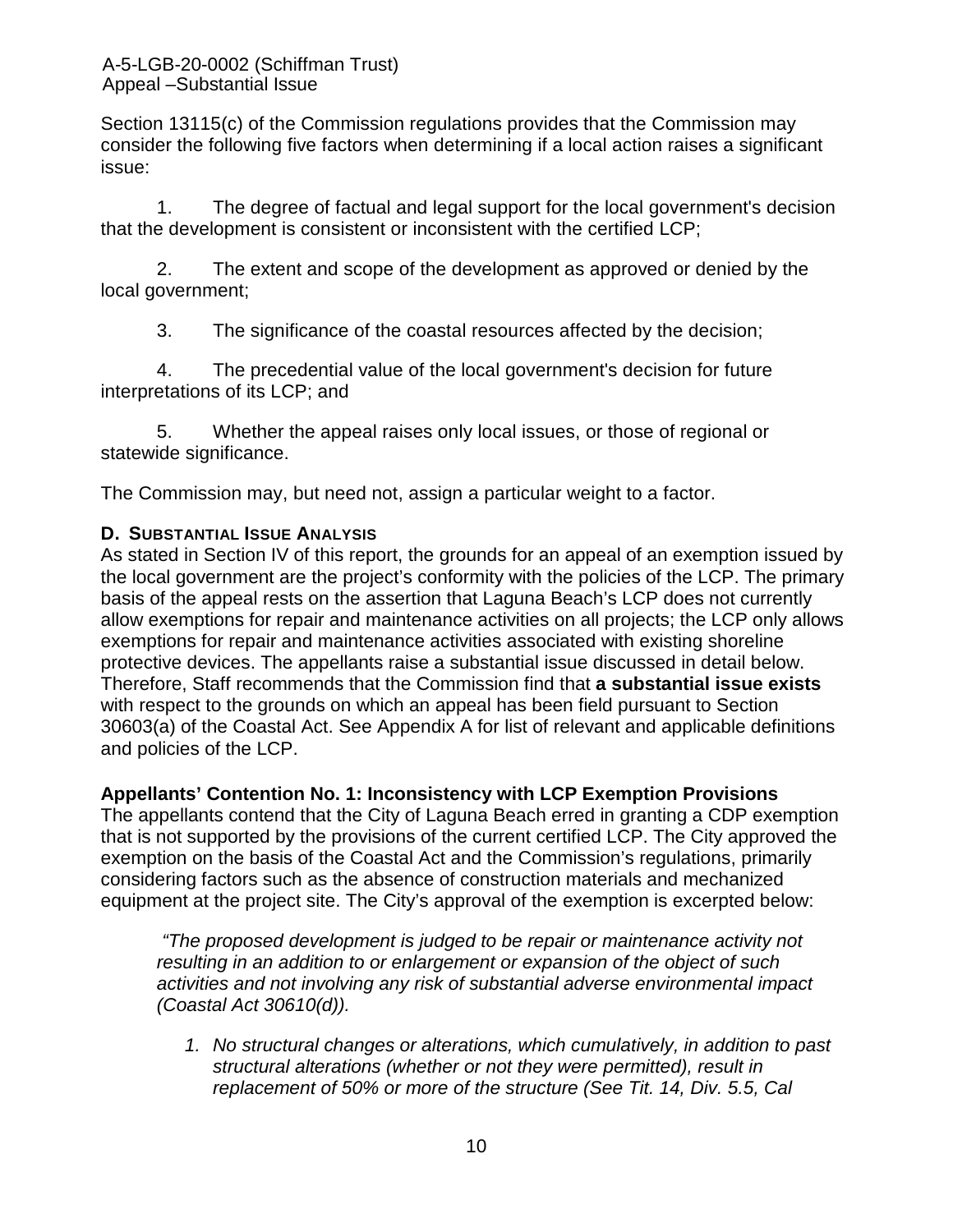Section 13115(c) of the Commission regulations provides that the Commission may consider the following five factors when determining if a local action raises a significant issue:

1. The degree of factual and legal support for the local government's decision that the development is consistent or inconsistent with the certified LCP;

2. The extent and scope of the development as approved or denied by the local government;

3. The significance of the coastal resources affected by the decision;

4. The precedential value of the local government's decision for future interpretations of its LCP; and

5. Whether the appeal raises only local issues, or those of regional or statewide significance.

The Commission may, but need not, assign a particular weight to a factor.

## **D. SUBSTANTIAL ISSUE ANALYSIS**

As stated in Section IV of this report, the grounds for an appeal of an exemption issued by the local government are the project's conformity with the policies of the LCP. The primary basis of the appeal rests on the assertion that Laguna Beach's LCP does not currently allow exemptions for repair and maintenance activities on all projects; the LCP only allows exemptions for repair and maintenance activities associated with existing shoreline protective devices. The appellants raise a substantial issue discussed in detail below. Therefore, Staff recommends that the Commission find that **a substantial issue exists** with respect to the grounds on which an appeal has been field pursuant to Section 30603(a) of the Coastal Act. See Appendix A for list of relevant and applicable definitions and policies of the LCP.

## **Appellants' Contention No. 1: Inconsistency with LCP Exemption Provisions**

The appellants contend that the City of Laguna Beach erred in granting a CDP exemption that is not supported by the provisions of the current certified LCP. The City approved the exemption on the basis of the Coastal Act and the Commission's regulations, primarily considering factors such as the absence of construction materials and mechanized equipment at the project site. The City's approval of the exemption is excerpted below:

*"The proposed development is judged to be repair or maintenance activity not resulting in an addition to or enlargement or expansion of the object of such activities and not involving any risk of substantial adverse environmental impact (Coastal Act 30610(d)).*

*1. No structural changes or alterations, which cumulatively, in addition to past structural alterations (whether or not they were permitted), result in replacement of 50% or more of the structure (See Tit. 14, Div. 5.5, Cal*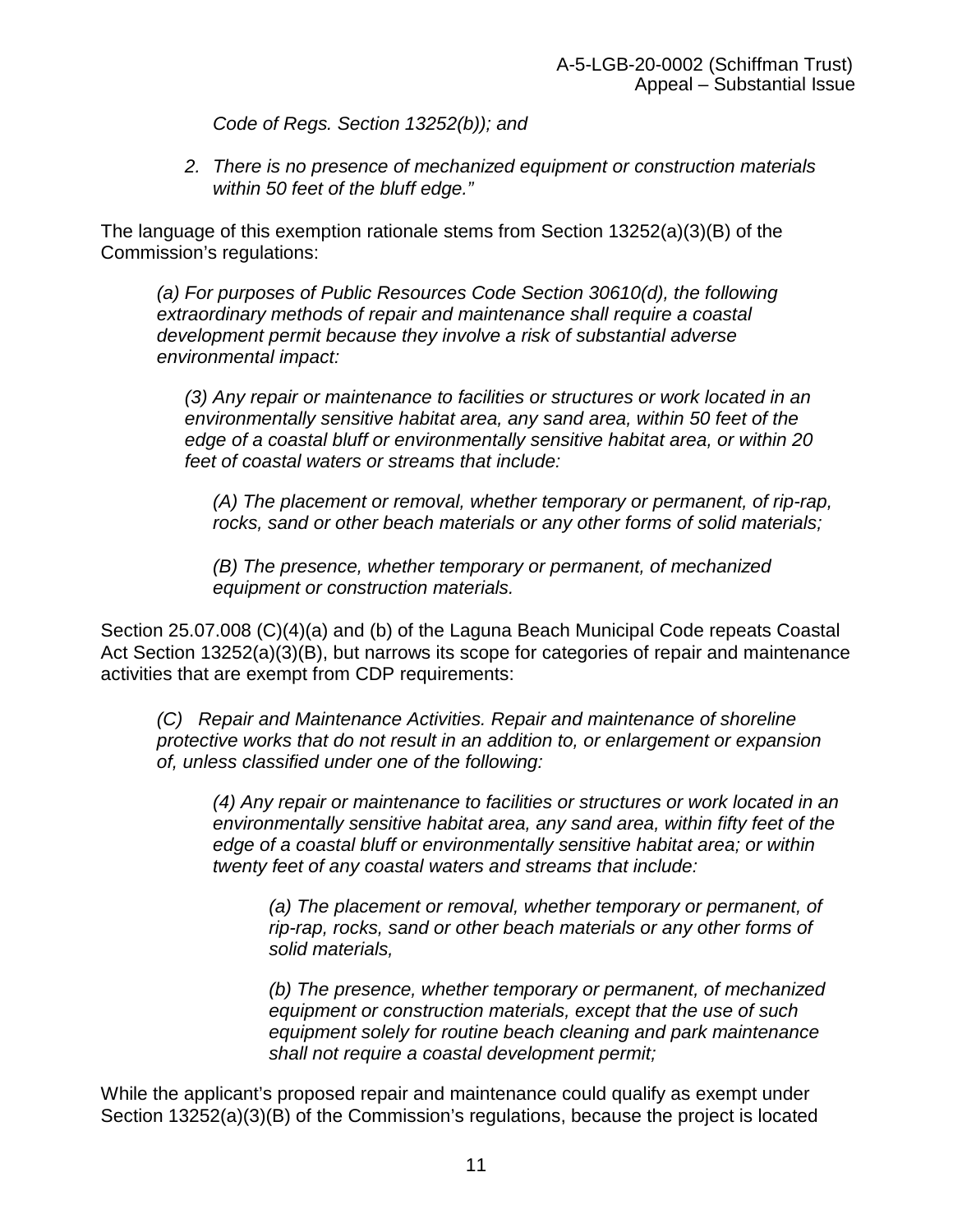*Code of Regs. Section 13252(b)); and* 

*2. There is no presence of mechanized equipment or construction materials within 50 feet of the bluff edge."*

The language of this exemption rationale stems from Section 13252(a)(3)(B) of the Commission's regulations:

*(a) For purposes of Public Resources Code Section 30610(d), the following extraordinary methods of repair and maintenance shall require a coastal development permit because they involve a risk of substantial adverse environmental impact:*

*(3) Any repair or maintenance to facilities or structures or work located in an environmentally sensitive habitat area, any sand area, within 50 feet of the edge of a coastal bluff or environmentally sensitive habitat area, or within 20 feet of coastal waters or streams that include:*

*(A) The placement or removal, whether temporary or permanent, of rip-rap, rocks, sand or other beach materials or any other forms of solid materials;*

*(B) The presence, whether temporary or permanent, of mechanized equipment or construction materials.*

Section 25.07.008 (C)(4)(a) and (b) of the Laguna Beach Municipal Code repeats Coastal Act Section 13252(a)(3)(B), but narrows its scope for categories of repair and maintenance activities that are exempt from CDP requirements:

*(C) Repair and Maintenance Activities. Repair and maintenance of shoreline protective works that do not result in an addition to, or enlargement or expansion of, unless classified under one of the following:*

*(4) Any repair or maintenance to facilities or structures or work located in an environmentally sensitive habitat area, any sand area, within fifty feet of the edge of a coastal bluff or environmentally sensitive habitat area; or within twenty feet of any coastal waters and streams that include:*

*(a) The placement or removal, whether temporary or permanent, of rip-rap, rocks, sand or other beach materials or any other forms of solid materials,*

*(b) The presence, whether temporary or permanent, of mechanized equipment or construction materials, except that the use of such equipment solely for routine beach cleaning and park maintenance shall not require a coastal development permit;*

While the applicant's proposed repair and maintenance could qualify as exempt under Section 13252(a)(3)(B) of the Commission's regulations, because the project is located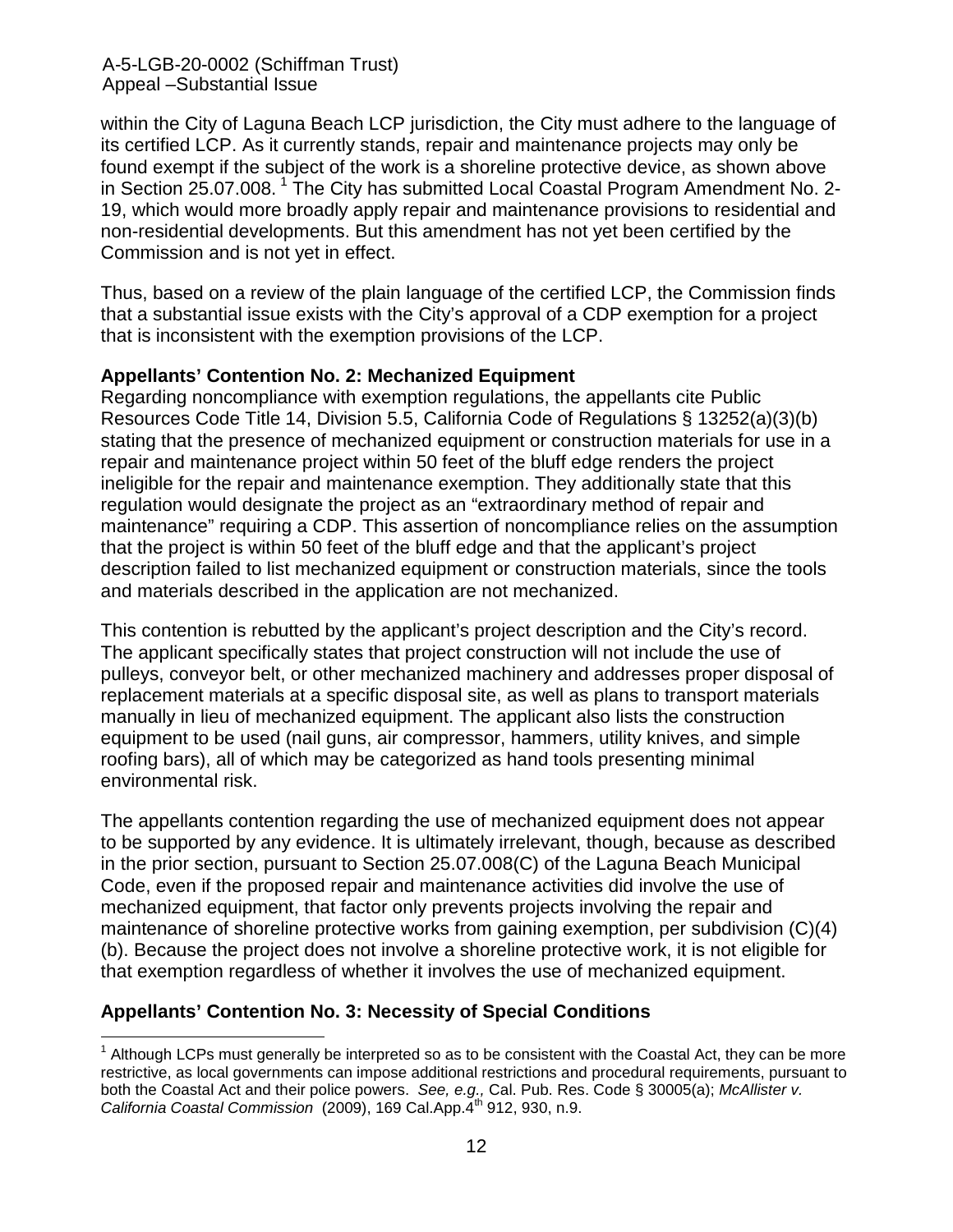A-5-LGB-20-0002 (Schiffman Trust) Appeal –Substantial Issue

within the City of Laguna Beach LCP jurisdiction, the City must adhere to the language of its certified LCP. As it currently stands, repair and maintenance projects may only be found exempt if the subject of the work is a shoreline protective device, as shown above in Section 25.07.008.<sup>[1](#page-11-0)</sup> The City has submitted Local Coastal Program Amendment No. 2-19, which would more broadly apply repair and maintenance provisions to residential and non-residential developments. But this amendment has not yet been certified by the Commission and is not yet in effect.

Thus, based on a review of the plain language of the certified LCP, the Commission finds that a substantial issue exists with the City's approval of a CDP exemption for a project that is inconsistent with the exemption provisions of the LCP.

#### **Appellants' Contention No. 2: Mechanized Equipment**

Regarding noncompliance with exemption regulations, the appellants cite Public Resources Code Title 14, Division 5.5, California Code of Regulations § 13252(a)(3)(b) stating that the presence of mechanized equipment or construction materials for use in a repair and maintenance project within 50 feet of the bluff edge renders the project ineligible for the repair and maintenance exemption. They additionally state that this regulation would designate the project as an "extraordinary method of repair and maintenance" requiring a CDP. This assertion of noncompliance relies on the assumption that the project is within 50 feet of the bluff edge and that the applicant's project description failed to list mechanized equipment or construction materials, since the tools and materials described in the application are not mechanized.

This contention is rebutted by the applicant's project description and the City's record. The applicant specifically states that project construction will not include the use of pulleys, conveyor belt, or other mechanized machinery and addresses proper disposal of replacement materials at a specific disposal site, as well as plans to transport materials manually in lieu of mechanized equipment. The applicant also lists the construction equipment to be used (nail guns, air compressor, hammers, utility knives, and simple roofing bars), all of which may be categorized as hand tools presenting minimal environmental risk.

The appellants contention regarding the use of mechanized equipment does not appear to be supported by any evidence. It is ultimately irrelevant, though, because as described in the prior section, pursuant to Section 25.07.008(C) of the Laguna Beach Municipal Code, even if the proposed repair and maintenance activities did involve the use of mechanized equipment, that factor only prevents projects involving the repair and maintenance of shoreline protective works from gaining exemption, per subdivision (C)(4) (b). Because the project does not involve a shoreline protective work, it is not eligible for that exemption regardless of whether it involves the use of mechanized equipment.

## **Appellants' Contention No. 3: Necessity of Special Conditions**

 $\overline{\phantom{a}}$ 

<span id="page-11-0"></span> $<sup>1</sup>$  Although LCPs must generally be interpreted so as to be consistent with the Coastal Act, they can be more</sup> restrictive, as local governments can impose additional restrictions and procedural requirements, pursuant to both the Coastal Act and their police powers. *See, e.g.,* Cal. Pub. Res. Code § 30005(a); *McAllister v. California Coastal Commission* (2009), 169 Cal.App.4th 912, 930, n.9.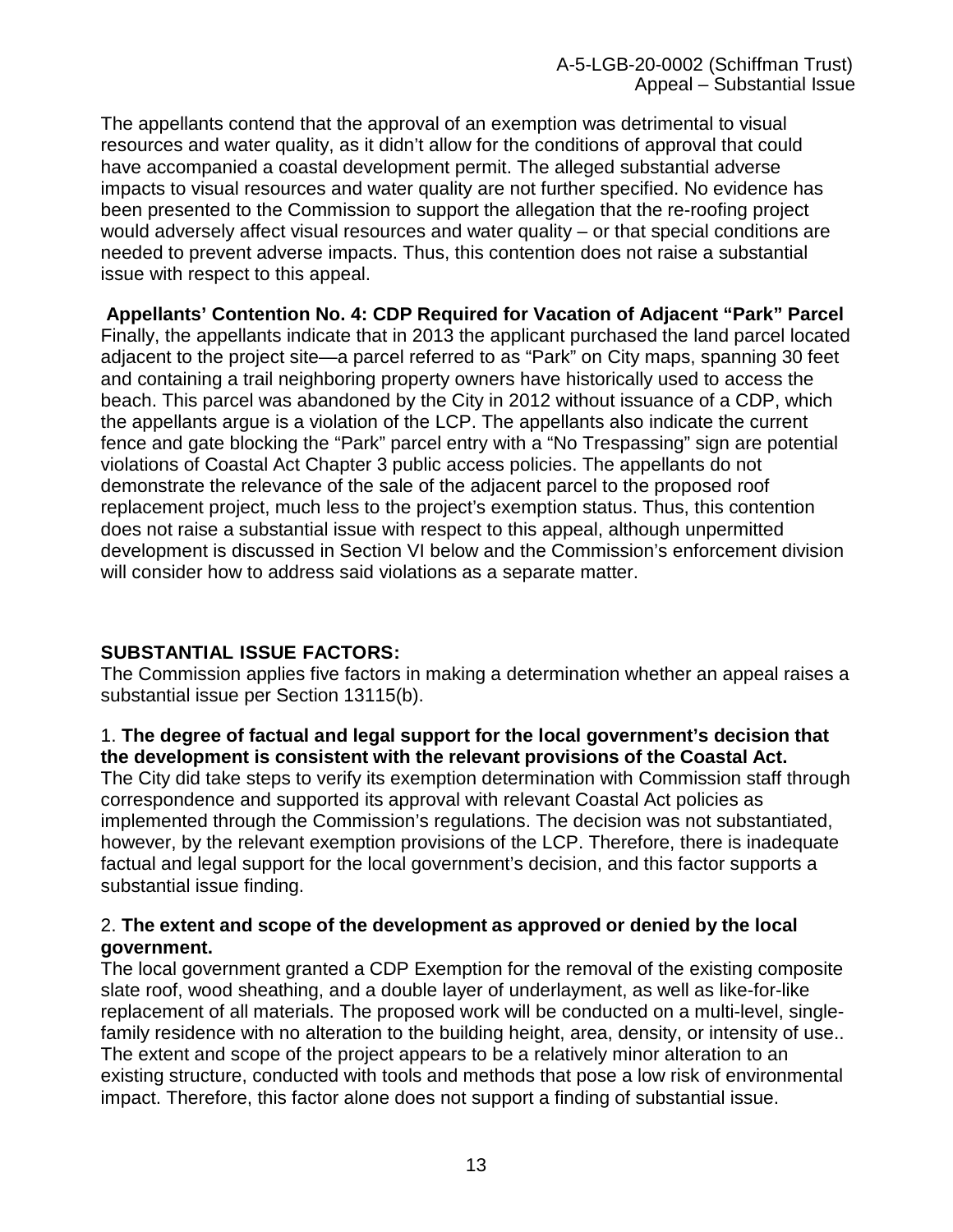The appellants contend that the approval of an exemption was detrimental to visual resources and water quality, as it didn't allow for the conditions of approval that could have accompanied a coastal development permit. The alleged substantial adverse impacts to visual resources and water quality are not further specified. No evidence has been presented to the Commission to support the allegation that the re-roofing project would adversely affect visual resources and water quality – or that special conditions are needed to prevent adverse impacts. Thus, this contention does not raise a substantial issue with respect to this appeal.

**Appellants' Contention No. 4: CDP Required for Vacation of Adjacent "Park" Parcel**  Finally, the appellants indicate that in 2013 the applicant purchased the land parcel located adjacent to the project site—a parcel referred to as "Park" on City maps, spanning 30 feet and containing a trail neighboring property owners have historically used to access the beach. This parcel was abandoned by the City in 2012 without issuance of a CDP, which the appellants argue is a violation of the LCP. The appellants also indicate the current fence and gate blocking the "Park" parcel entry with a "No Trespassing" sign are potential violations of Coastal Act Chapter 3 public access policies. The appellants do not demonstrate the relevance of the sale of the adjacent parcel to the proposed roof replacement project, much less to the project's exemption status. Thus, this contention does not raise a substantial issue with respect to this appeal, although unpermitted development is discussed in Section VI below and the Commission's enforcement division will consider how to address said violations as a separate matter.

## **SUBSTANTIAL ISSUE FACTORS:**

The Commission applies five factors in making a determination whether an appeal raises a substantial issue per Section 13115(b).

## 1. **The degree of factual and legal support for the local government's decision that the development is consistent with the relevant provisions of the Coastal Act.**

The City did take steps to verify its exemption determination with Commission staff through correspondence and supported its approval with relevant Coastal Act policies as implemented through the Commission's regulations. The decision was not substantiated, however, by the relevant exemption provisions of the LCP. Therefore, there is inadequate factual and legal support for the local government's decision, and this factor supports a substantial issue finding.

#### 2. **The extent and scope of the development as approved or denied by the local government.**

The local government granted a CDP Exemption for the removal of the existing composite slate roof, wood sheathing, and a double layer of underlayment, as well as like-for-like replacement of all materials. The proposed work will be conducted on a multi-level, singlefamily residence with no alteration to the building height, area, density, or intensity of use.. The extent and scope of the project appears to be a relatively minor alteration to an existing structure, conducted with tools and methods that pose a low risk of environmental impact. Therefore, this factor alone does not support a finding of substantial issue.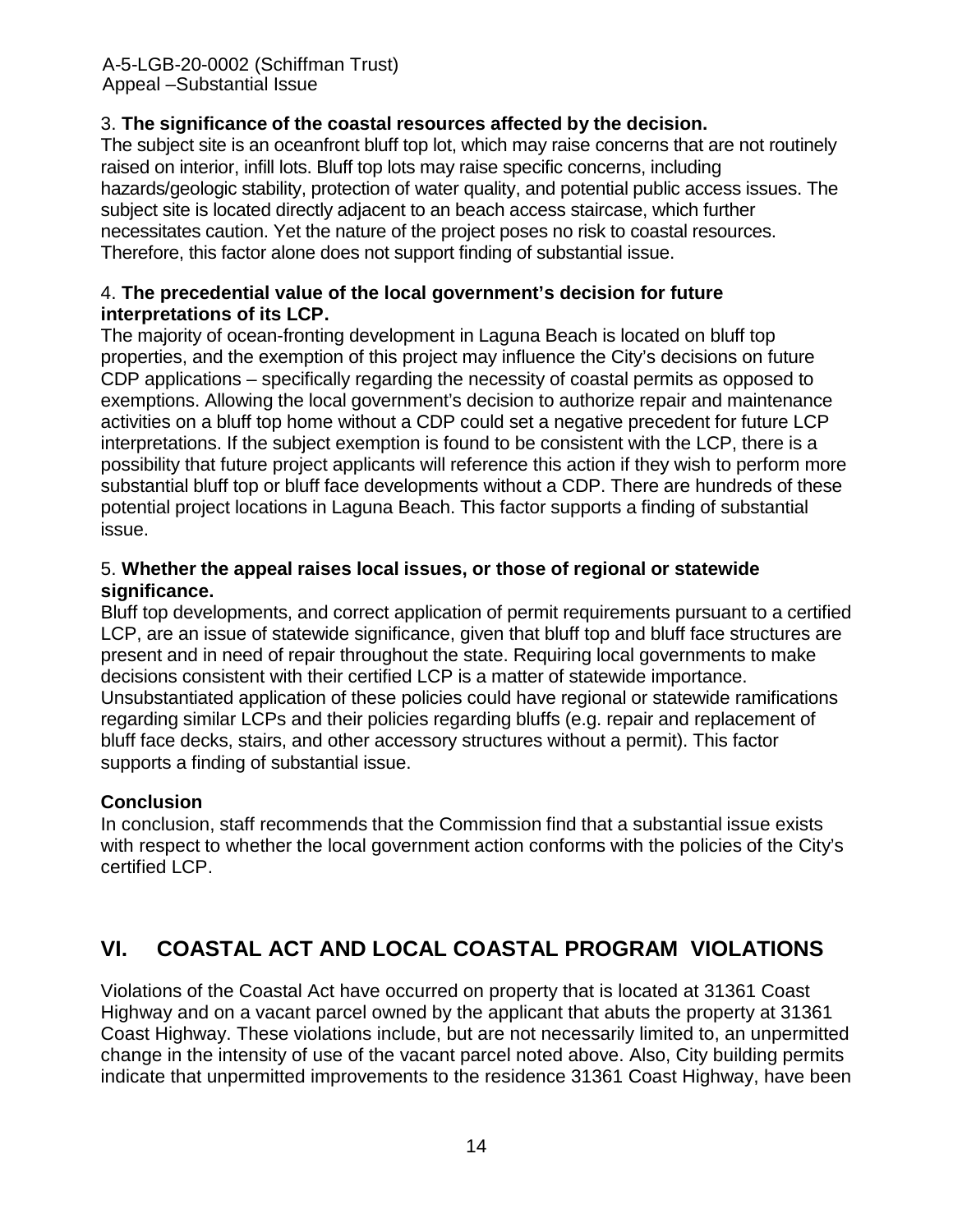#### A-5-LGB-20-0002 (Schiffman Trust) Appeal –Substantial Issue

#### 3. **The significance of the coastal resources affected by the decision.**

The subject site is an oceanfront bluff top lot, which may raise concerns that are not routinely raised on interior, infill lots. Bluff top lots may raise specific concerns, including hazards/geologic stability, protection of water quality, and potential public access issues. The subject site is located directly adjacent to an beach access staircase, which further necessitates caution. Yet the nature of the project poses no risk to coastal resources. Therefore, this factor alone does not support finding of substantial issue.

#### 4. **The precedential value of the local government's decision for future interpretations of its LCP.**

The majority of ocean-fronting development in Laguna Beach is located on bluff top properties, and the exemption of this project may influence the City's decisions on future CDP applications – specifically regarding the necessity of coastal permits as opposed to exemptions. Allowing the local government's decision to authorize repair and maintenance activities on a bluff top home without a CDP could set a negative precedent for future LCP interpretations. If the subject exemption is found to be consistent with the LCP, there is a possibility that future project applicants will reference this action if they wish to perform more substantial bluff top or bluff face developments without a CDP. There are hundreds of these potential project locations in Laguna Beach. This factor supports a finding of substantial issue.

#### 5. **Whether the appeal raises local issues, or those of regional or statewide significance.**

Bluff top developments, and correct application of permit requirements pursuant to a certified LCP, are an issue of statewide significance, given that bluff top and bluff face structures are present and in need of repair throughout the state. Requiring local governments to make decisions consistent with their certified LCP is a matter of statewide importance. Unsubstantiated application of these policies could have regional or statewide ramifications regarding similar LCPs and their policies regarding bluffs (e.g. repair and replacement of bluff face decks, stairs, and other accessory structures without a permit). This factor supports a finding of substantial issue.

## **Conclusion**

In conclusion, staff recommends that the Commission find that a substantial issue exists with respect to whether the local government action conforms with the policies of the City's certified LCP.

## **VI. COASTAL ACT AND LOCAL COASTAL PROGRAM VIOLATIONS**

Violations of the Coastal Act have occurred on property that is located at 31361 Coast Highway and on a vacant parcel owned by the applicant that abuts the property at 31361 Coast Highway. These violations include, but are not necessarily limited to, an unpermitted change in the intensity of use of the vacant parcel noted above. Also, City building permits indicate that unpermitted improvements to the residence 31361 Coast Highway, have been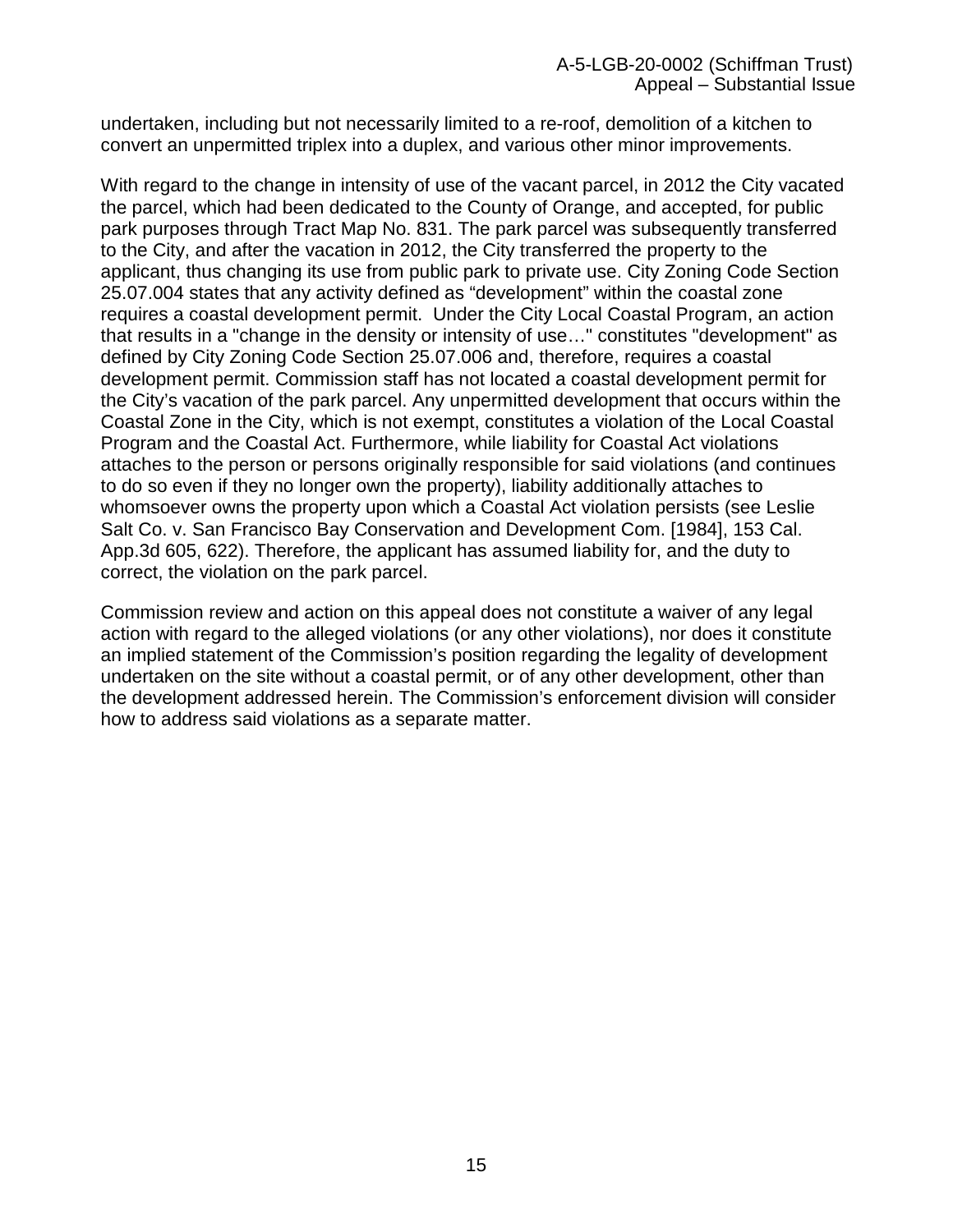undertaken, including but not necessarily limited to a re-roof, demolition of a kitchen to convert an unpermitted triplex into a duplex, and various other minor improvements.

With regard to the change in intensity of use of the vacant parcel, in 2012 the City vacated the parcel, which had been dedicated to the County of Orange, and accepted, for public park purposes through Tract Map No. 831. The park parcel was subsequently transferred to the City, and after the vacation in 2012, the City transferred the property to the applicant, thus changing its use from public park to private use. City Zoning Code Section 25.07.004 states that any activity defined as "development" within the coastal zone requires a coastal development permit. Under the City Local Coastal Program, an action that results in a "change in the density or intensity of use…" constitutes "development" as defined by City Zoning Code Section 25.07.006 and, therefore, requires a coastal development permit. Commission staff has not located a coastal development permit for the City's vacation of the park parcel. Any unpermitted development that occurs within the Coastal Zone in the City, which is not exempt, constitutes a violation of the Local Coastal Program and the Coastal Act. Furthermore, while liability for Coastal Act violations attaches to the person or persons originally responsible for said violations (and continues to do so even if they no longer own the property), liability additionally attaches to whomsoever owns the property upon which a Coastal Act violation persists (see Leslie Salt Co. v. San Francisco Bay Conservation and Development Com. [1984], 153 Cal. App.3d 605, 622). Therefore, the applicant has assumed liability for, and the duty to correct, the violation on the park parcel.

Commission review and action on this appeal does not constitute a waiver of any legal action with regard to the alleged violations (or any other violations), nor does it constitute an implied statement of the Commission's position regarding the legality of development undertaken on the site without a coastal permit, or of any other development, other than the development addressed herein. The Commission's enforcement division will consider how to address said violations as a separate matter.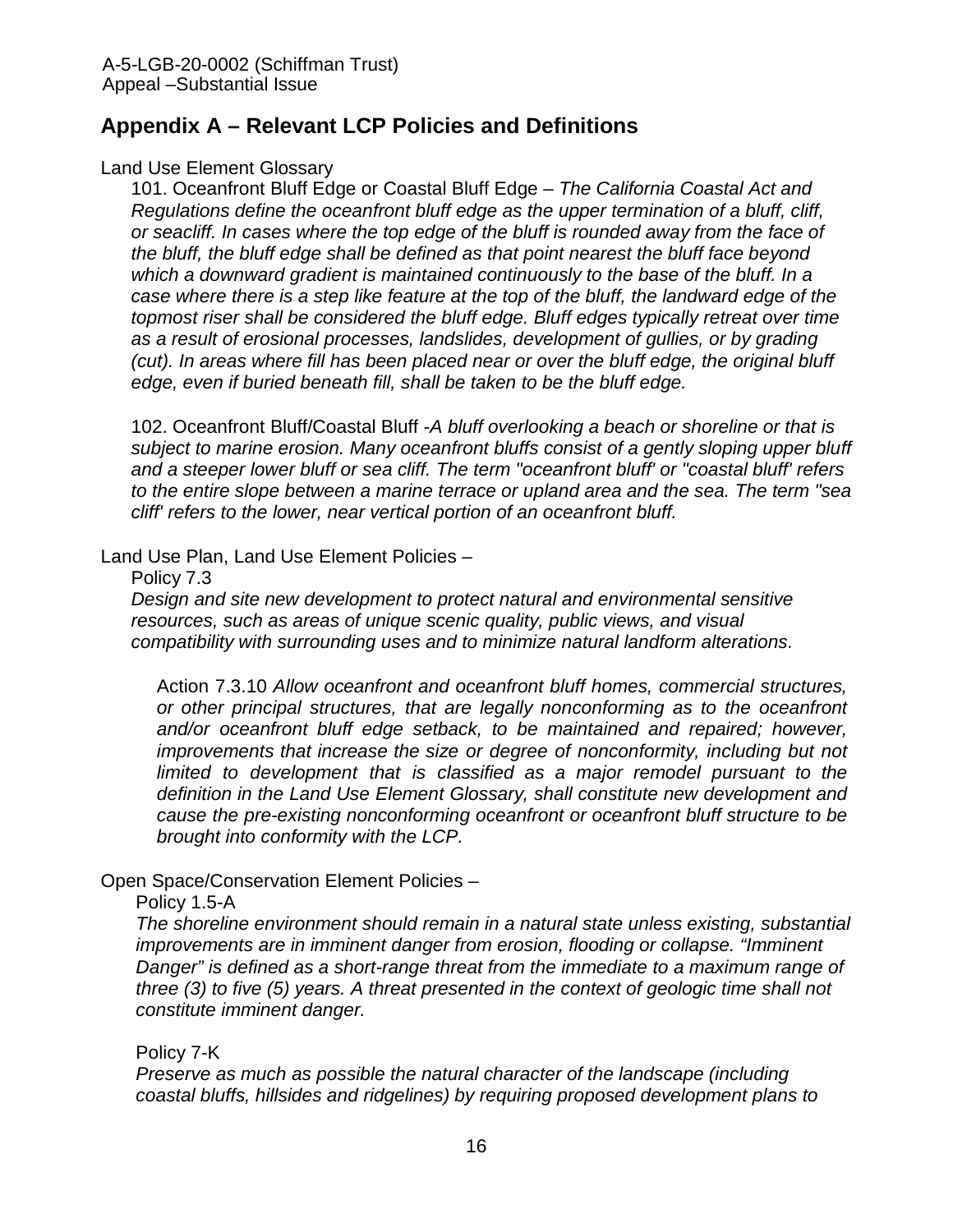## **Appendix A – Relevant LCP Policies and Definitions**

#### Land Use Element Glossary

101. Oceanfront Bluff Edge or Coastal Bluff Edge – *The California Coastal Act and Regulations define the oceanfront bluff edge as the upper termination of a bluff, cliff, or seacliff. In cases where the top edge of the bluff is rounded away from the face of the bluff, the bluff edge shall be defined as that point nearest the bluff face beyond which a downward gradient is maintained continuously to the base of the bluff. In a case where there is a step like feature at the top of the bluff, the landward edge of the topmost riser shall be considered the bluff edge. Bluff edges typically retreat over time as a result of erosional processes, landslides, development of gullies, or by grading (cut). In areas where fill has been placed near or over the bluff edge, the original bluff edge, even if buried beneath fill, shall be taken to be the bluff edge.* 

102. Oceanfront Bluff/Coastal Bluff -*A bluff overlooking a beach or shoreline or that is subject to marine erosion. Many oceanfront bluffs consist of a gently sloping upper bluff and a steeper lower bluff or sea cliff. The term "oceanfront bluff' or "coastal bluff' refers to the entire slope between a marine terrace or upland area and the sea. The term "sea cliff' refers to the lower, near vertical portion of an oceanfront bluff.*

#### Land Use Plan, Land Use Element Policies –

#### Policy 7.3

*Design and site new development to protect natural and environmental sensitive resources, such as areas of unique scenic quality, public views, and visual compatibility with surrounding uses and to minimize natural landform alterations.* 

Action 7.3.10 *Allow oceanfront and oceanfront bluff homes, commercial structures, or other principal structures, that are legally nonconforming as to the oceanfront and/or oceanfront bluff edge setback, to be maintained and repaired; however, improvements that increase the size or degree of nonconformity, including but not limited to development that is classified as a major remodel pursuant to the definition in the Land Use Element Glossary, shall constitute new development and cause the pre-existing nonconforming oceanfront or oceanfront bluff structure to be brought into conformity with the LCP.* 

## Open Space/Conservation Element Policies –

#### Policy 1.5-A

*The shoreline environment should remain in a natural state unless existing, substantial improvements are in imminent danger from erosion, flooding or collapse. "Imminent Danger" is defined as a short-range threat from the immediate to a maximum range of three (3) to five (5) years. A threat presented in the context of geologic time shall not constitute imminent danger.*

## Policy 7-K

*Preserve as much as possible the natural character of the landscape (including coastal bluffs, hillsides and ridgelines) by requiring proposed development plans to*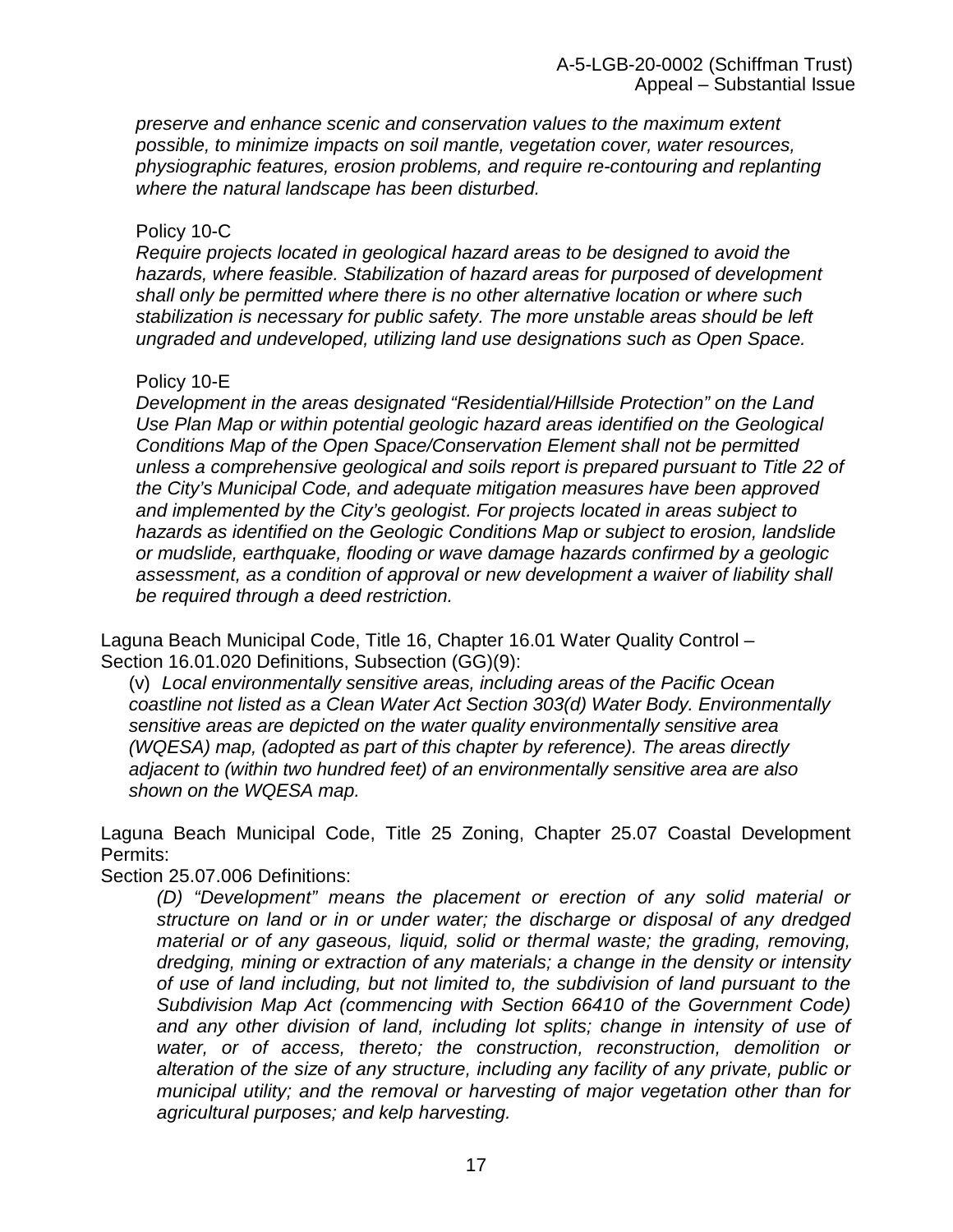*preserve and enhance scenic and conservation values to the maximum extent possible, to minimize impacts on soil mantle, vegetation cover, water resources, physiographic features, erosion problems, and require re-contouring and replanting where the natural landscape has been disturbed.*

#### Policy 10-C

*Require projects located in geological hazard areas to be designed to avoid the hazards, where feasible. Stabilization of hazard areas for purposed of development shall only be permitted where there is no other alternative location or where such stabilization is necessary for public safety. The more unstable areas should be left ungraded and undeveloped, utilizing land use designations such as Open Space.*

#### Policy 10-E

*Development in the areas designated "Residential/Hillside Protection" on the Land Use Plan Map or within potential geologic hazard areas identified on the Geological Conditions Map of the Open Space/Conservation Element shall not be permitted unless a comprehensive geological and soils report is prepared pursuant to Title 22 of the City's Municipal Code, and adequate mitigation measures have been approved and implemented by the City's geologist. For projects located in areas subject to hazards as identified on the Geologic Conditions Map or subject to erosion, landslide or mudslide, earthquake, flooding or wave damage hazards confirmed by a geologic*  assessment, as a condition of approval or new development a waiver of liability shall *be required through a deed restriction.*

Laguna Beach Municipal Code, Title 16, Chapter 16.01 Water Quality Control – Section 16.01.020 Definitions, Subsection (GG)(9):

(v) *Local environmentally sensitive areas, including areas of the Pacific Ocean coastline not listed as a Clean Water Act Section 303(d) Water Body. Environmentally sensitive areas are depicted on the water quality environmentally sensitive area (WQESA) map, (adopted as part of this chapter by reference). The areas directly adjacent to (within two hundred feet) of an environmentally sensitive area are also shown on the WQESA map.*

Laguna Beach Municipal Code, Title 25 Zoning, Chapter 25.07 Coastal Development Permits:

Section 25.07.006 Definitions:

*(D) "Development" means the placement or erection of any solid material or structure on land or in or under water; the discharge or disposal of any dredged material or of any gaseous, liquid, solid or thermal waste; the grading, removing, dredging, mining or extraction of any materials; a change in the density or intensity of use of land including, but not limited to, the subdivision of land pursuant to the Subdivision Map Act (commencing with Section 66410 of the Government Code) and any other division of land, including lot splits; change in intensity of use of water, or of access, thereto; the construction, reconstruction, demolition or alteration of the size of any structure, including any facility of any private, public or municipal utility; and the removal or harvesting of major vegetation other than for agricultural purposes; and kelp harvesting.*